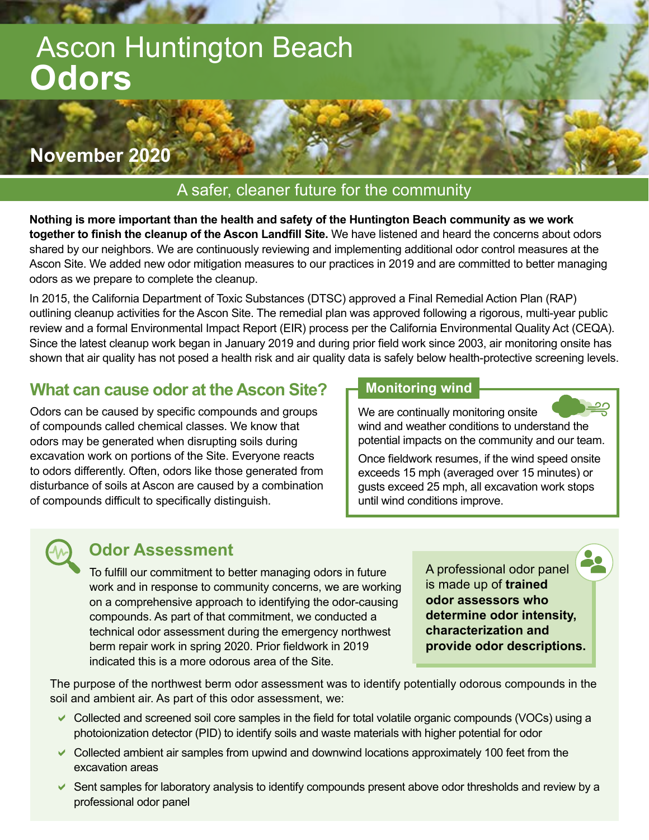# Ascon Huntington Beach **Odors**

# **November 2020**

#### A safer, cleaner future for the community

**Nothing is more important than the health and safety of the Huntington Beach community as we work together to finish the cleanup of the Ascon Landfill Site.** We have listened and heard the concerns about odors shared by our neighbors. We are continuously reviewing and implementing additional odor control measures at the Ascon Site. We added new odor mitigation measures to our practices in 2019 and are committed to better managing odors as we prepare to complete the cleanup.

In 2015, the California Department of Toxic Substances (DTSC) approved a Final Remedial Action Plan (RAP) outlining cleanup activities for the Ascon Site. The remedial plan was approved following a rigorous, multi-year public review and a formal Environmental Impact Report (EIR) process per the California Environmental Quality Act (CEQA). Since the latest cleanup work began in January 2019 and during prior field work since 2003, air monitoring onsite has shown that air quality has not posed a health risk and air quality data is safely below health-protective screening levels.

## **What can cause odor at the Ascon Site?**

Odors can be caused by specific compounds and groups of compounds called chemical classes. We know that odors may be generated when disrupting soils during excavation work on portions of the Site. Everyone reacts to odors differently. Often, odors like those generated from disturbance of soils at Ascon are caused by a combination of compounds difficult to specifically distinguish.

#### **Monitoring wind**

We are continually monitoring onsite wind and weather conditions to understand the potential impacts on the community and our team.

Once fieldwork resumes, if the wind speed onsite exceeds 15 mph (averaged over 15 minutes) or gusts exceed 25 mph, all excavation work stops until wind conditions improve.



### **Odor Assessment**

To fulfill our commitment to better managing odors in future work and in response to community concerns, we are working on a comprehensive approach to identifying the odor-causing compounds. As part of that commitment, we conducted a technical odor assessment during the emergency northwest berm repair work in spring 2020. Prior fieldwork in 2019 indicated this is a more odorous area of the Site.

A professional odor panel is made up of **trained odor assessors who determine odor intensity, characterization and provide odor descriptions.** 

The purpose of the northwest berm odor assessment was to identify potentially odorous compounds in the soil and ambient air. As part of this odor assessment, we:

- $\vee$  Collected and screened soil core samples in the field for total volatile organic compounds (VOCs) using a photoionization detector (PID) to identify soils and waste materials with higher potential for odor
- $\vee$  Collected ambient air samples from upwind and downwind locations approximately 100 feet from the excavation areas
- $\blacktriangleright$  Sent samples for laboratory analysis to identify compounds present above odor thresholds and review by a professional odor panel